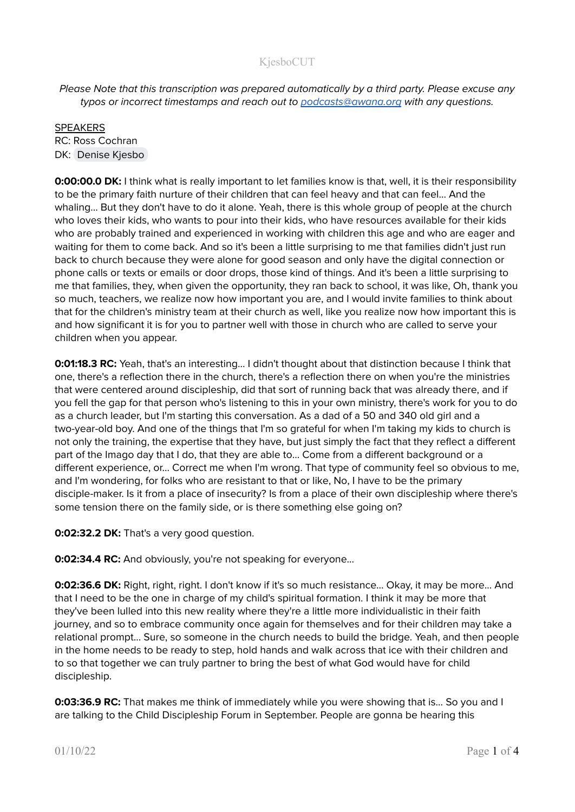Please Note that this transcription was prepared automatically by a third party. Please excuse any typos or incorrect timestamps and reach out to [podcasts@awana.org](mailto:podcasts@awana.org) with any questions.

SPEAKERS RC: Ross Cochran DK: [Denise](mailto:denise-kjesbo@bethel.edu) Kjesbo

**0:00:00.0 DK:** I think what is really important to let families know is that, well, it is their responsibility to be the primary faith nurture of their children that can feel heavy and that can feel... And the whaling... But they don't have to do it alone. Yeah, there is this whole group of people at the church who loves their kids, who wants to pour into their kids, who have resources available for their kids who are probably trained and experienced in working with children this age and who are eager and waiting for them to come back. And so it's been a little surprising to me that families didn't just run back to church because they were alone for good season and only have the digital connection or phone calls or texts or emails or door drops, those kind of things. And it's been a little surprising to me that families, they, when given the opportunity, they ran back to school, it was like, Oh, thank you so much, teachers, we realize now how important you are, and I would invite families to think about that for the children's ministry team at their church as well, like you realize now how important this is and how significant it is for you to partner well with those in church who are called to serve your children when you appear.

**0:01:18.3 RC:** Yeah, that's an interesting... I didn't thought about that distinction because I think that one, there's a reflection there in the church, there's a reflection there on when you're the ministries that were centered around discipleship, did that sort of running back that was already there, and if you fell the gap for that person who's listening to this in your own ministry, there's work for you to do as a church leader, but I'm starting this conversation. As a dad of a 50 and 340 old girl and a two-year-old boy. And one of the things that I'm so grateful for when I'm taking my kids to church is not only the training, the expertise that they have, but just simply the fact that they reflect a different part of the Imago day that I do, that they are able to... Come from a different background or a different experience, or... Correct me when I'm wrong. That type of community feel so obvious to me, and I'm wondering, for folks who are resistant to that or like, No, I have to be the primary disciple-maker. Is it from a place of insecurity? Is from a place of their own discipleship where there's some tension there on the family side, or is there something else going on?

**0:02:32.2 DK:** That's a very good question.

**0:02:34.4 RC:** And obviously, you're not speaking for everyone...

**0:02:36.6 DK:** Right, right, right. I don't know if it's so much resistance... Okay, it may be more... And that I need to be the one in charge of my child's spiritual formation. I think it may be more that they've been lulled into this new reality where they're a little more individualistic in their faith journey, and so to embrace community once again for themselves and for their children may take a relational prompt... Sure, so someone in the church needs to build the bridge. Yeah, and then people in the home needs to be ready to step, hold hands and walk across that ice with their children and to so that together we can truly partner to bring the best of what God would have for child discipleship.

**0:03:36.9 RC:** That makes me think of immediately while you were showing that is... So you and I are talking to the Child Discipleship Forum in September. People are gonna be hearing this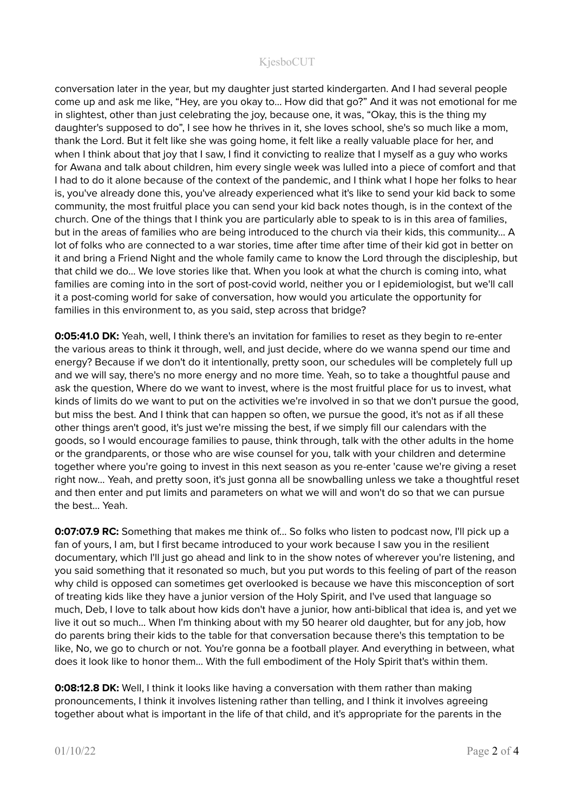conversation later in the year, but my daughter just started kindergarten. And I had several people come up and ask me like, "Hey, are you okay to... How did that go?" And it was not emotional for me in slightest, other than just celebrating the joy, because one, it was, "Okay, this is the thing my daughter's supposed to do", I see how he thrives in it, she loves school, she's so much like a mom, thank the Lord. But it felt like she was going home, it felt like a really valuable place for her, and when I think about that joy that I saw, I find it convicting to realize that I myself as a guy who works for Awana and talk about children, him every single week was lulled into a piece of comfort and that I had to do it alone because of the context of the pandemic, and I think what I hope her folks to hear is, you've already done this, you've already experienced what it's like to send your kid back to some community, the most fruitful place you can send your kid back notes though, is in the context of the church. One of the things that I think you are particularly able to speak to is in this area of families, but in the areas of families who are being introduced to the church via their kids, this community... A lot of folks who are connected to a war stories, time after time after time of their kid got in better on it and bring a Friend Night and the whole family came to know the Lord through the discipleship, but that child we do... We love stories like that. When you look at what the church is coming into, what families are coming into in the sort of post-covid world, neither you or I epidemiologist, but we'll call it a post-coming world for sake of conversation, how would you articulate the opportunity for families in this environment to, as you said, step across that bridge?

**0:05:41.0 DK:** Yeah, well, I think there's an invitation for families to reset as they begin to re-enter the various areas to think it through, well, and just decide, where do we wanna spend our time and energy? Because if we don't do it intentionally, pretty soon, our schedules will be completely full up and we will say, there's no more energy and no more time. Yeah, so to take a thoughtful pause and ask the question, Where do we want to invest, where is the most fruitful place for us to invest, what kinds of limits do we want to put on the activities we're involved in so that we don't pursue the good, but miss the best. And I think that can happen so often, we pursue the good, it's not as if all these other things aren't good, it's just we're missing the best, if we simply fill our calendars with the goods, so I would encourage families to pause, think through, talk with the other adults in the home or the grandparents, or those who are wise counsel for you, talk with your children and determine together where you're going to invest in this next season as you re-enter 'cause we're giving a reset right now… Yeah, and pretty soon, it's just gonna all be snowballing unless we take a thoughtful reset and then enter and put limits and parameters on what we will and won't do so that we can pursue the best... Yeah.

**0:07:07.9 RC:** Something that makes me think of... So folks who listen to podcast now, I'll pick up a fan of yours, I am, but I first became introduced to your work because I saw you in the resilient documentary, which I'll just go ahead and link to in the show notes of wherever you're listening, and you said something that it resonated so much, but you put words to this feeling of part of the reason why child is opposed can sometimes get overlooked is because we have this misconception of sort of treating kids like they have a junior version of the Holy Spirit, and I've used that language so much, Deb, I love to talk about how kids don't have a junior, how anti-biblical that idea is, and yet we live it out so much... When I'm thinking about with my 50 hearer old daughter, but for any job, how do parents bring their kids to the table for that conversation because there's this temptation to be like, No, we go to church or not. You're gonna be a football player. And everything in between, what does it look like to honor them... With the full embodiment of the Holy Spirit that's within them.

**0:08:12.8 DK:** Well, I think it looks like having a conversation with them rather than making pronouncements, I think it involves listening rather than telling, and I think it involves agreeing together about what is important in the life of that child, and it's appropriate for the parents in the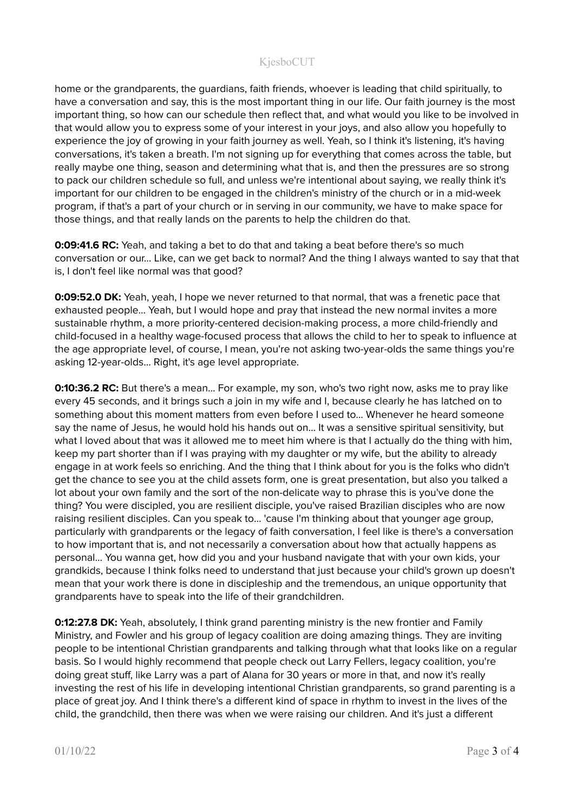home or the grandparents, the guardians, faith friends, whoever is leading that child spiritually, to have a conversation and say, this is the most important thing in our life. Our faith journey is the most important thing, so how can our schedule then reflect that, and what would you like to be involved in that would allow you to express some of your interest in your joys, and also allow you hopefully to experience the joy of growing in your faith journey as well. Yeah, so I think it's listening, it's having conversations, it's taken a breath. I'm not signing up for everything that comes across the table, but really maybe one thing, season and determining what that is, and then the pressures are so strong to pack our children schedule so full, and unless we're intentional about saying, we really think it's important for our children to be engaged in the children's ministry of the church or in a mid-week program, if that's a part of your church or in serving in our community, we have to make space for those things, and that really lands on the parents to help the children do that.

**0:09:41.6 RC:** Yeah, and taking a bet to do that and taking a beat before there's so much conversation or our... Like, can we get back to normal? And the thing I always wanted to say that that is, I don't feel like normal was that good?

**0:09:52.0 DK:** Yeah, yeah, I hope we never returned to that normal, that was a frenetic pace that exhausted people... Yeah, but I would hope and pray that instead the new normal invites a more sustainable rhythm, a more priority-centered decision-making process, a more child-friendly and child-focused in a healthy wage-focused process that allows the child to her to speak to influence at the age appropriate level, of course, I mean, you're not asking two-year-olds the same things you're asking 12-year-olds... Right, it's age level appropriate.

**0:10:36.2 RC:** But there's a mean... For example, my son, who's two right now, asks me to pray like every 45 seconds, and it brings such a join in my wife and I, because clearly he has latched on to something about this moment matters from even before I used to... Whenever he heard someone say the name of Jesus, he would hold his hands out on... It was a sensitive spiritual sensitivity, but what I loved about that was it allowed me to meet him where is that I actually do the thing with him, keep my part shorter than if I was praying with my daughter or my wife, but the ability to already engage in at work feels so enriching. And the thing that I think about for you is the folks who didn't get the chance to see you at the child assets form, one is great presentation, but also you talked a lot about your own family and the sort of the non-delicate way to phrase this is you've done the thing? You were discipled, you are resilient disciple, you've raised Brazilian disciples who are now raising resilient disciples. Can you speak to... 'cause I'm thinking about that younger age group, particularly with grandparents or the legacy of faith conversation, I feel like is there's a conversation to how important that is, and not necessarily a conversation about how that actually happens as personal… You wanna get, how did you and your husband navigate that with your own kids, your grandkids, because I think folks need to understand that just because your child's grown up doesn't mean that your work there is done in discipleship and the tremendous, an unique opportunity that grandparents have to speak into the life of their grandchildren.

**0:12:27.8 DK:** Yeah, absolutely, I think grand parenting ministry is the new frontier and Family Ministry, and Fowler and his group of legacy coalition are doing amazing things. They are inviting people to be intentional Christian grandparents and talking through what that looks like on a regular basis. So I would highly recommend that people check out Larry Fellers, legacy coalition, you're doing great stuff, like Larry was a part of Alana for 30 years or more in that, and now it's really investing the rest of his life in developing intentional Christian grandparents, so grand parenting is a place of great joy. And I think there's a different kind of space in rhythm to invest in the lives of the child, the grandchild, then there was when we were raising our children. And it's just a different